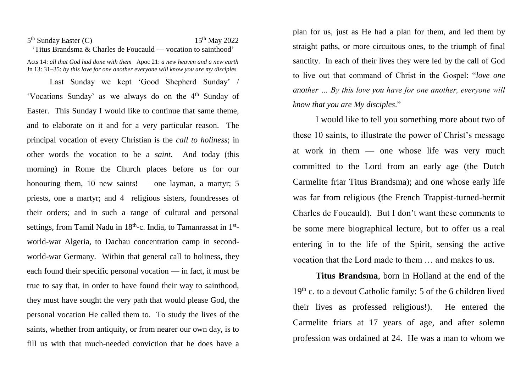## 5<sup>th</sup> Sunday Easter (C) 15<sup>th</sup> May 2022 'Titus Brandsma & Charles de Foucauld — vocation to sainthood'

Acts 14: *all that God had done with them* Apoc 21: *a new heaven and a new earth* Jn 13: 31–35: *by this love for one another everyone will know you are my disciples*

Last Sunday we kept 'Good Shepherd Sunday' / 'Vocations Sunday' as we always do on the 4th Sunday of Easter. This Sunday I would like to continue that same theme, and to elaborate on it and for a very particular reason. The principal vocation of every Christian is the *call to holiness*; in other words the vocation to be a *saint*. And today (this morning) in Rome the Church places before us for our honouring them, 10 new saints! — one layman, a martyr; 5 priests, one a martyr; and 4 religious sisters, foundresses of their orders; and in such a range of cultural and personal settings, from Tamil Nadu in 18<sup>th</sup>-c. India, to Tamanrassat in 1<sup>st</sup>world-war Algeria, to Dachau concentration camp in secondworld-war Germany. Within that general call to holiness, they each found their specific personal vocation — in fact, it must be true to say that, in order to have found their way to sainthood, they must have sought the very path that would please God, the personal vocation He called them to. To study the lives of the saints, whether from antiquity, or from nearer our own day, is to fill us with that much-needed conviction that he does have a

plan for us, just as He had a plan for them, and led them by straight paths, or more circuitous ones, to the triumph of final sanctity. In each of their lives they were led by the call of God to live out that command of Christ in the Gospel: "*love one another … By this love you have for one another, everyone will know that you are My disciples*."

I would like to tell you something more about two of these 10 saints, to illustrate the power of Christ's message at work in them — one whose life was very much committed to the Lord from an early age (the Dutch Carmelite friar Titus Brandsma); and one whose early life was far from religious (the French Trappist-turned-hermit Charles de Foucauld). But I don't want these comments to be some mere biographical lecture, but to offer us a real entering in to the life of the Spirit, sensing the active vocation that the Lord made to them … and makes to us.

**Titus Brandsma**, born in Holland at the end of the 19<sup>th</sup> c. to a devout Catholic family: 5 of the 6 children lived their lives as professed religious!). He entered the Carmelite friars at 17 years of age, and after solemn profession was ordained at 24. He was a man to whom we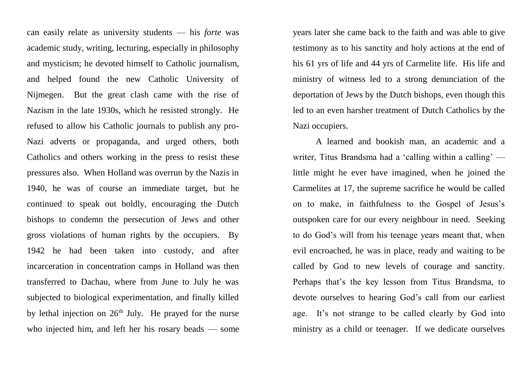can easily relate as university students — his *forte* was academic study, writing, lecturing, especially in philosophy and mysticism; he devoted himself to Catholic journalism, and helped found the new Catholic University of Nijmegen. But the great clash came with the rise of Nazism in the late 1930s, which he resisted strongly. He refused to allow his Catholic journals to publish any pro-Nazi adverts or propaganda, and urged others, both Catholics and others working in the press to resist these pressures also. When Holland was overrun by the Nazis in 1940, he was of course an immediate target, but he continued to speak out boldly, encouraging the Dutch bishops to condemn the persecution of Jews and other gross violations of human rights by the occupiers. By 1942 he had been taken into custody, and after incarceration in concentration camps in Holland was then transferred to Dachau, where from June to July he was subjected to biological experimentation, and finally killed by lethal injection on  $26<sup>th</sup>$  July. He prayed for the nurse who injected him, and left her his rosary beads — some

years later she came back to the faith and was able to give testimony as to his sanctity and holy actions at the end of his 61 yrs of life and 44 yrs of Carmelite life. His life and ministry of witness led to a strong denunciation of the deportation of Jews by the Dutch bishops, even though this led to an even harsher treatment of Dutch Catholics by the Nazi occupiers.

A learned and bookish man, an academic and a writer, Titus Brandsma had a 'calling within a calling' little might he ever have imagined, when he joined the Carmelites at 17, the supreme sacrifice he would be called on to make, in faithfulness to the Gospel of Jesus's outspoken care for our every neighbour in need. Seeking to do God's will from his teenage years meant that, when evil encroached, he was in place, ready and waiting to be called by God to new levels of courage and sanctity. Perhaps that's the key lesson from Titus Brandsma, to devote ourselves to hearing God's call from our earliest age. It's not strange to be called clearly by God into ministry as a child or teenager. If we dedicate ourselves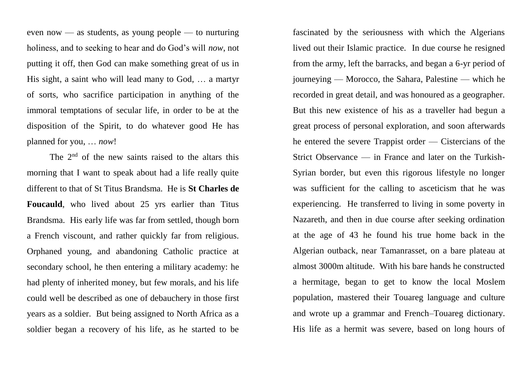even now — as students, as young people — to nurturing holiness, and to seeking to hear and do God's will *now*, not putting it off, then God can make something great of us in His sight, a saint who will lead many to God, … a martyr of sorts, who sacrifice participation in anything of the immoral temptations of secular life, in order to be at the disposition of the Spirit, to do whatever good He has planned for you, … *now*!

The  $2<sup>nd</sup>$  of the new saints raised to the altars this morning that I want to speak about had a life really quite different to that of St Titus Brandsma. He is **St Charles de Foucauld**, who lived about 25 yrs earlier than Titus Brandsma. His early life was far from settled, though born a French viscount, and rather quickly far from religious. Orphaned young, and abandoning Catholic practice at secondary school, he then entering a military academy: he had plenty of inherited money, but few morals, and his life could well be described as one of debauchery in those first years as a soldier. But being assigned to North Africa as a soldier began a recovery of his life, as he started to be

fascinated by the seriousness with which the Algerians lived out their Islamic practice. In due course he resigned from the army, left the barracks, and began a 6-yr period of journeying — Morocco, the Sahara, Palestine — which he recorded in great detail, and was honoured as a geographer. But this new existence of his as a traveller had begun a great process of personal exploration, and soon afterwards he entered the severe Trappist order — Cistercians of the Strict Observance — in France and later on the Turkish-Syrian border, but even this rigorous lifestyle no longer was sufficient for the calling to asceticism that he was experiencing. He transferred to living in some poverty in Nazareth, and then in due course after seeking ordination at the age of 43 he found his true home back in the Algerian outback, near Tamanrasset, on a bare plateau at almost 3000m altitude. With his bare hands he constructed a hermitage, began to get to know the local Moslem population, mastered their Touareg language and culture and wrote up a grammar and French–Touareg dictionary. His life as a hermit was severe, based on long hours of